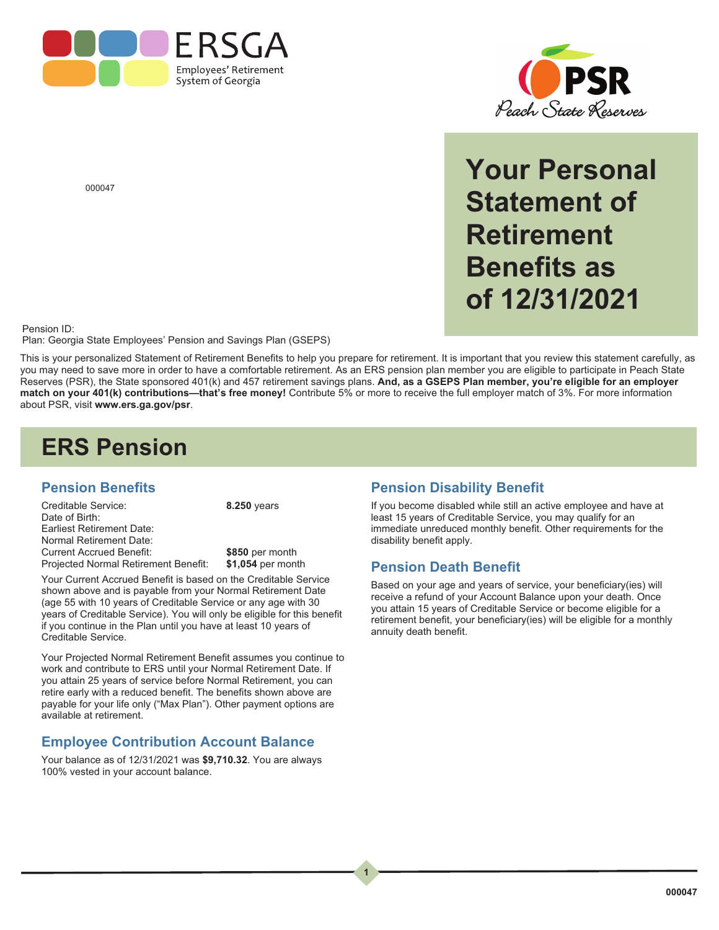



**Your Personal Statement of Retirement Benefits as of 12/31/2021**

000047

#### Pension ID:

Plan: Georgia State Employees' Pension and Savings Plan (GSEPS)

This is your personalized Statement of Retirement Benefits to help you prepare for retirement. It is important that you review this statement carefully, as you may need to save more in order to have a comfortable retirement. As an ERS pension plan member you are eligible to participate in Peach State Reserves (PSR), the State sponsored 401(k) and 457 retirement savings plans. **And, as a GSEPS Plan member, you're eligible for an employer match on your 401(k) contributions—that's free money!** Contribute 5% or more to receive the full employer match of 3%. For more information about PSR, visit **www.ers.ga.gov/psr**.

 $\begin{array}{c} 1 \end{array}$ 

**1**

# **ERS Pension**

#### **Pension Benefits**

Creditable Service: Date of Birth: Earliest Retirement Date: Normal Retirement Date: Current Accrued Benefit: Projected Normal Retirement Benefit: **8.250** years

**\$850** per month **\$1,054** per month

Your Current Accrued Benefit is based on the Creditable Service shown above and is payable from your Normal Retirement Date (age 55 with 10 years of Creditable Service or any age with 30 years of Creditable Service). You will only be eligible for this benefit if you continue in the Plan until you have at least 10 years of Creditable Service.

Your Projected Normal Retirement Benefit assumes you continue to work and contribute to ERS until your Normal Retirement Date. If you attain 25 years of service before Normal Retirement, you can retire early with a reduced benefit. The benefits shown above are payable for your life only ("Max Plan"). Other payment options are available at retirement.

### **Employee Contribution Account Balance**

Your balance as of 12/31/2021 was **\$9,710.32**. You are always 100% vested in your account balance.

### **Pension Disability Benefit**

If you become disabled while still an active employee and have at least 15 years of Creditable Service, you may qualify for an immediate unreduced monthly benefit. Other requirements for the disability benefit apply.

### **Pension Death Benefit**

Based on your age and years of service, your beneficiary(ies) will receive a refund of your Account Balance upon your death. Once you attain 15 years of Creditable Service or become eligible for a retirement benefit, your beneficiary(ies) will be eligible for a monthly annuity death benefit.